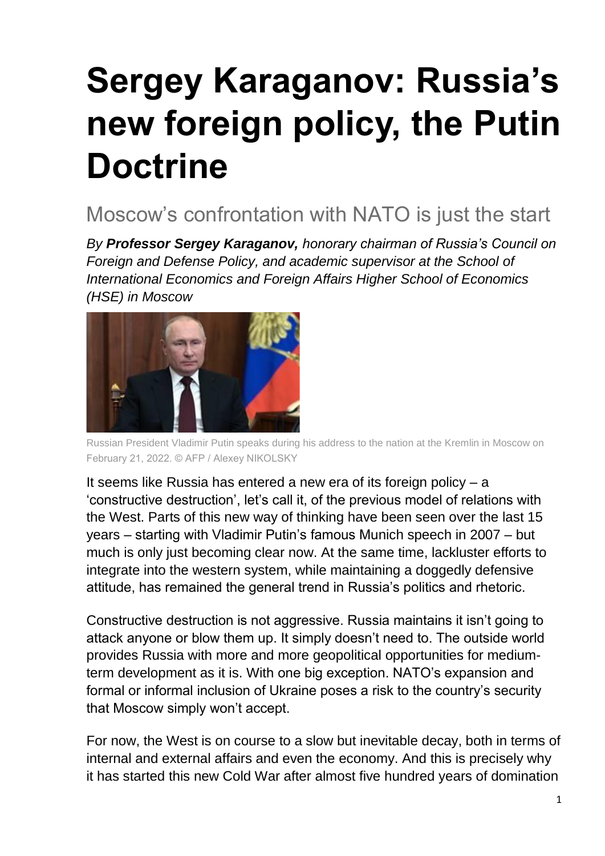# **Sergey Karaganov: Russia's new foreign policy, the Putin Doctrine**

# Moscow's confrontation with NATO is just the start

*By Professor Sergey Karaganov, honorary chairman of Russia's Council on Foreign and Defense Policy, and academic supervisor at the School of International Economics and Foreign Affairs Higher School of Economics (HSE) in Moscow*



Russian President Vladimir Putin speaks during his address to the nation at the Kremlin in Moscow on February 21, 2022. © AFP / Alexey NIKOLSKY

It seems like Russia has entered a new era of its foreign policy – a 'constructive destruction', let's call it, of the previous model of relations with the West. Parts of this new way of thinking have been seen over the last 15 years – starting with Vladimir Putin's famous Munich speech in 2007 – but much is only just becoming clear now. At the same time, lackluster efforts to integrate into the western system, while maintaining a doggedly defensive attitude, has remained the general trend in Russia's politics and rhetoric.

Constructive destruction is not aggressive. Russia maintains it isn't going to attack anyone or blow them up. It simply doesn't need to. The outside world provides Russia with more and more geopolitical opportunities for mediumterm development as it is. With one big exception. NATO's expansion and formal or informal inclusion of Ukraine poses a risk to the country's security that Moscow simply won't accept.

For now, the West is on course to a slow but inevitable decay, both in terms of internal and external affairs and even the economy. And this is precisely why it has started this new Cold War after almost five hundred years of domination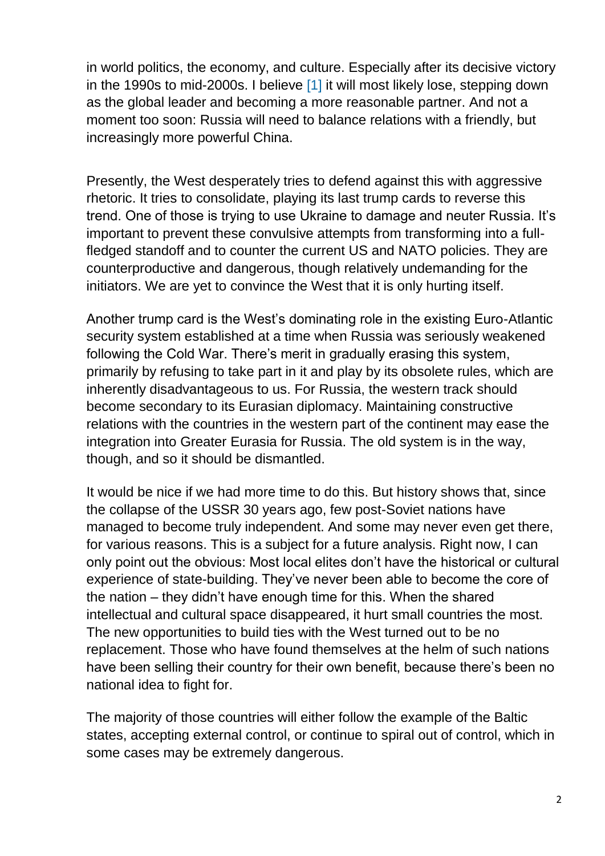in world politics, the economy, and culture. Especially after its decisive victory in the 1990s to mid-2000s. I believe [\[1\]](https://globalaffairs.ru/articles/ot-razrusheniya-k-sobiraniyu/?fbclid=IwAR1jJo1lJT7vq76-KzNjZqMWCeEu_G_cpb9Xk5xybSaLQ5jY3SawmOMMuXU#_ftn1) it will most likely lose, stepping down as the global leader and becoming a more reasonable partner. And not a moment too soon: Russia will need to balance relations with a friendly, but increasingly more powerful China.

Presently, the West desperately tries to defend against this with aggressive rhetoric. It tries to consolidate, playing its last trump cards to reverse this trend. One of those is trying to use Ukraine to damage and neuter Russia. It's important to prevent these convulsive attempts from transforming into a fullfledged standoff and to counter the current US and NATO policies. They are counterproductive and dangerous, though relatively undemanding for the initiators. We are yet to convince the West that it is only hurting itself.

Another trump card is the West's dominating role in the existing Euro-Atlantic security system established at a time when Russia was seriously weakened following the Cold War. There's merit in gradually erasing this system, primarily by refusing to take part in it and play by its obsolete rules, which are inherently disadvantageous to us. For Russia, the western track should become secondary to its Eurasian diplomacy. Maintaining constructive relations with the countries in the western part of the continent may ease the integration into Greater Eurasia for Russia. The old system is in the way, though, and so it should be dismantled.

It would be nice if we had more time to do this. But history shows that, since the collapse of the USSR 30 years ago, few post-Soviet nations have managed to become truly independent. And some may never even get there, for various reasons. This is a subject for a future analysis. Right now, I can only point out the obvious: Most local elites don't have the historical or cultural experience of state-building. They've never been able to become the core of the nation – they didn't have enough time for this. When the shared intellectual and cultural space disappeared, it hurt small countries the most. The new opportunities to build ties with the West turned out to be no replacement. Those who have found themselves at the helm of such nations have been selling their country for their own benefit, because there's been no national idea to fight for.

The majority of those countries will either follow the example of the Baltic states, accepting external control, or continue to spiral out of control, which in some cases may be extremely dangerous.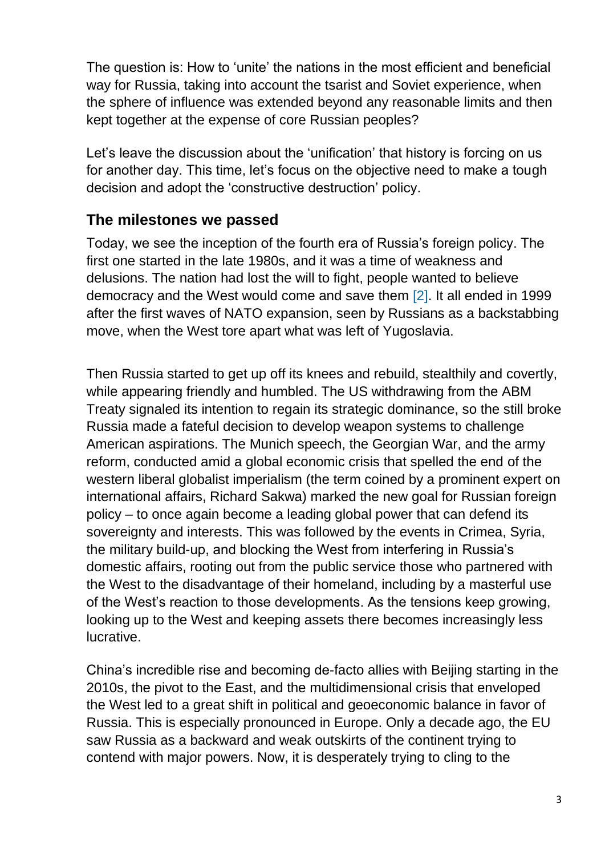The question is: How to 'unite' the nations in the most efficient and beneficial way for Russia, taking into account the tsarist and Soviet experience, when the sphere of influence was extended beyond any reasonable limits and then kept together at the expense of core Russian peoples?

Let's leave the discussion about the 'unification' that history is forcing on us for another day. This time, let's focus on the objective need to make a tough decision and adopt the 'constructive destruction' policy.

## **The milestones we passed**

Today, we see the inception of the fourth era of Russia's foreign policy. The first one started in the late 1980s, and it was a time of weakness and delusions. The nation had lost the will to fight, people wanted to believe democracy and the West would come and save them [\[2\].](https://globalaffairs.ru/articles/ot-razrusheniya-k-sobiraniyu/?fbclid=IwAR1jJo1lJT7vq76-KzNjZqMWCeEu_G_cpb9Xk5xybSaLQ5jY3SawmOMMuXU#_ftn2) It all ended in 1999 after the first waves of NATO expansion, seen by Russians as a backstabbing move, when the West tore apart what was left of Yugoslavia.

Then Russia started to get up off its knees and rebuild, stealthily and covertly, while appearing friendly and humbled. The US withdrawing from the ABM Treaty signaled its intention to regain its strategic dominance, so the still broke Russia made a fateful decision to develop weapon systems to challenge American aspirations. The Munich speech, the Georgian War, and the army reform, conducted amid a global economic crisis that spelled the end of the western liberal globalist imperialism (the term coined by a prominent expert on international affairs, Richard Sakwa) marked the new goal for Russian foreign policy – to once again become a leading global power that can defend its sovereignty and interests. This was followed by the events in Crimea, Syria, the military build-up, and blocking the West from interfering in Russia's domestic affairs, rooting out from the public service those who partnered with the West to the disadvantage of their homeland, including by a masterful use of the West's reaction to those developments. As the tensions keep growing, looking up to the West and keeping assets there becomes increasingly less lucrative.

China's incredible rise and becoming de-facto allies with Beijing starting in the 2010s, the pivot to the East, and the multidimensional crisis that enveloped the West led to a great shift in political and geoeconomic balance in favor of Russia. This is especially pronounced in Europe. Only a decade ago, the EU saw Russia as a backward and weak outskirts of the continent trying to contend with major powers. Now, it is desperately trying to cling to the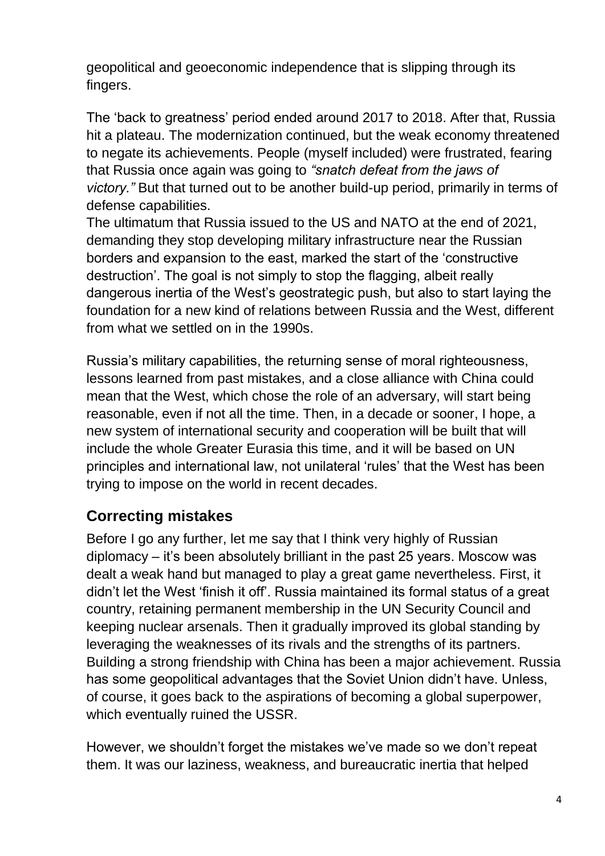geopolitical and geoeconomic independence that is slipping through its fingers.

The 'back to greatness' period ended around 2017 to 2018. After that, Russia hit a plateau. The modernization continued, but the weak economy threatened to negate its achievements. People (myself included) were frustrated, fearing that Russia once again was going to *"snatch defeat from the jaws of victory."* But that turned out to be another build-up period, primarily in terms of defense capabilities.

The ultimatum that Russia issued to the US and NATO at the end of 2021, demanding they stop developing military infrastructure near the Russian borders and expansion to the east, marked the start of the 'constructive destruction'. The goal is not simply to stop the flagging, albeit really dangerous inertia of the West's geostrategic push, but also to start laying the foundation for a new kind of relations between Russia and the West, different from what we settled on in the 1990s.

Russia's military capabilities, the returning sense of moral righteousness, lessons learned from past mistakes, and a close alliance with China could mean that the West, which chose the role of an adversary, will start being reasonable, even if not all the time. Then, in a decade or sooner, I hope, a new system of international security and cooperation will be built that will include the whole Greater Eurasia this time, and it will be based on UN principles and international law, not unilateral 'rules' that the West has been trying to impose on the world in recent decades.

# **Correcting mistakes**

Before I go any further, let me say that I think very highly of Russian diplomacy – it's been absolutely brilliant in the past 25 years. Moscow was dealt a weak hand but managed to play a great game nevertheless. First, it didn't let the West 'finish it off'. Russia maintained its formal status of a great country, retaining permanent membership in the UN Security Council and keeping nuclear arsenals. Then it gradually improved its global standing by leveraging the weaknesses of its rivals and the strengths of its partners. Building a strong friendship with China has been a major achievement. Russia has some geopolitical advantages that the Soviet Union didn't have. Unless, of course, it goes back to the aspirations of becoming a global superpower, which eventually ruined the USSR.

However, we shouldn't forget the mistakes we've made so we don't repeat them. It was our laziness, weakness, and bureaucratic inertia that helped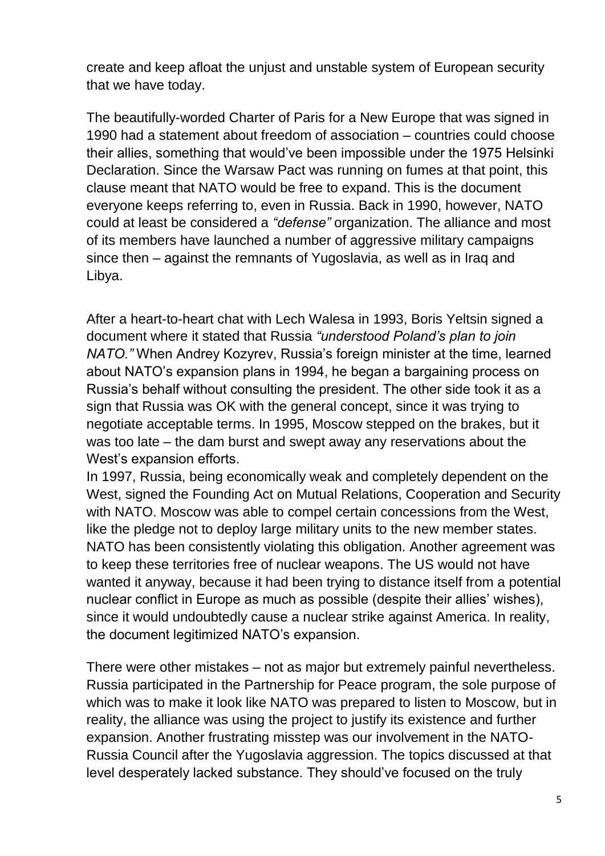create and keep afloat the unjust and unstable system of European security that we have today.

The beautifully-worded Charter of Paris for a New Europe that was signed in 1990 had a statement about freedom of association – countries could choose their allies, something that would've been impossible under the 1975 Helsinki Declaration. Since the Warsaw Pact was running on fumes at that point, this clause meant that NATO would be free to expand. This is the document everyone keeps referring to, even in Russia. Back in 1990, however, NATO could at least be considered a *"defense"* organization. The alliance and most of its members have launched a number of aggressive military campaigns since then – against the remnants of Yugoslavia, as well as in Iraq and Libya.

After a heart-to-heart chat with Lech Walesa in 1993, Boris Yeltsin signed a document where it stated that Russia *"understood Poland's plan to join NATO."* When Andrey Kozyrev, Russia's foreign minister at the time, learned about NATO's expansion plans in 1994, he began a bargaining process on Russia's behalf without consulting the president. The other side took it as a sign that Russia was OK with the general concept, since it was trying to negotiate acceptable terms. In 1995, Moscow stepped on the brakes, but it was too late – the dam burst and swept away any reservations about the West's expansion efforts.

In 1997, Russia, being economically weak and completely dependent on the West, signed the Founding Act on Mutual Relations, Cooperation and Security with NATO. Moscow was able to compel certain concessions from the West, like the pledge not to deploy large military units to the new member states. NATO has been consistently violating this obligation. Another agreement was to keep these territories free of nuclear weapons. The US would not have wanted it anyway, because it had been trying to distance itself from a potential nuclear conflict in Europe as much as possible (despite their allies' wishes), since it would undoubtedly cause a nuclear strike against America. In reality, the document legitimized NATO's expansion.

There were other mistakes – not as major but extremely painful nevertheless. Russia participated in the Partnership for Peace program, the sole purpose of which was to make it look like NATO was prepared to listen to Moscow, but in reality, the alliance was using the project to justify its existence and further expansion. Another frustrating misstep was our involvement in the NATO-Russia Council after the Yugoslavia aggression. The topics discussed at that level desperately lacked substance. They should've focused on the truly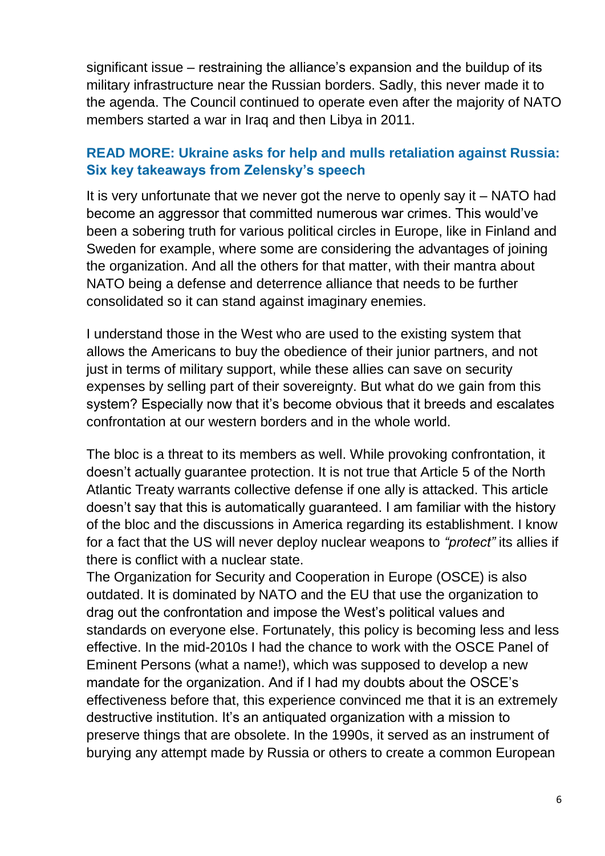significant issue – restraining the alliance's expansion and the buildup of its military infrastructure near the Russian borders. Sadly, this never made it to the agenda. The Council continued to operate even after the majority of NATO members started a war in Iraq and then Libya in 2011.

#### **READ MORE: [Ukraine asks for help and mulls retaliation against Russia:](https://www.rt.com/russia/550247-zelensky-response-donbass-recognition/)  [Six key takeaways from Zelensky's speech](https://www.rt.com/russia/550247-zelensky-response-donbass-recognition/)**

It is very unfortunate that we never got the nerve to openly say it – NATO had become an aggressor that committed numerous war crimes. This would've been a sobering truth for various political circles in Europe, like in Finland and Sweden for example, where some are considering the advantages of joining the organization. And all the others for that matter, with their mantra about NATO being a defense and deterrence alliance that needs to be further consolidated so it can stand against imaginary enemies.

I understand those in the West who are used to the existing system that allows the Americans to buy the obedience of their junior partners, and not just in terms of military support, while these allies can save on security expenses by selling part of their sovereignty. But what do we gain from this system? Especially now that it's become obvious that it breeds and escalates confrontation at our western borders and in the whole world.

The bloc is a threat to its members as well. While provoking confrontation, it doesn't actually guarantee protection. It is not true that Article 5 of the North Atlantic Treaty warrants collective defense if one ally is attacked. This article doesn't say that this is automatically guaranteed. I am familiar with the history of the bloc and the discussions in America regarding its establishment. I know for a fact that the US will never deploy nuclear weapons to *"protect"* its allies if there is conflict with a nuclear state.

The Organization for Security and Cooperation in Europe (OSCE) is also outdated. It is dominated by NATO and the EU that use the organization to drag out the confrontation and impose the West's political values and standards on everyone else. Fortunately, this policy is becoming less and less effective. In the mid-2010s I had the chance to work with the OSCE Panel of Eminent Persons (what a name!), which was supposed to develop a new mandate for the organization. And if I had my doubts about the OSCE's effectiveness before that, this experience convinced me that it is an extremely destructive institution. It's an antiquated organization with a mission to preserve things that are obsolete. In the 1990s, it served as an instrument of burying any attempt made by Russia or others to create a common European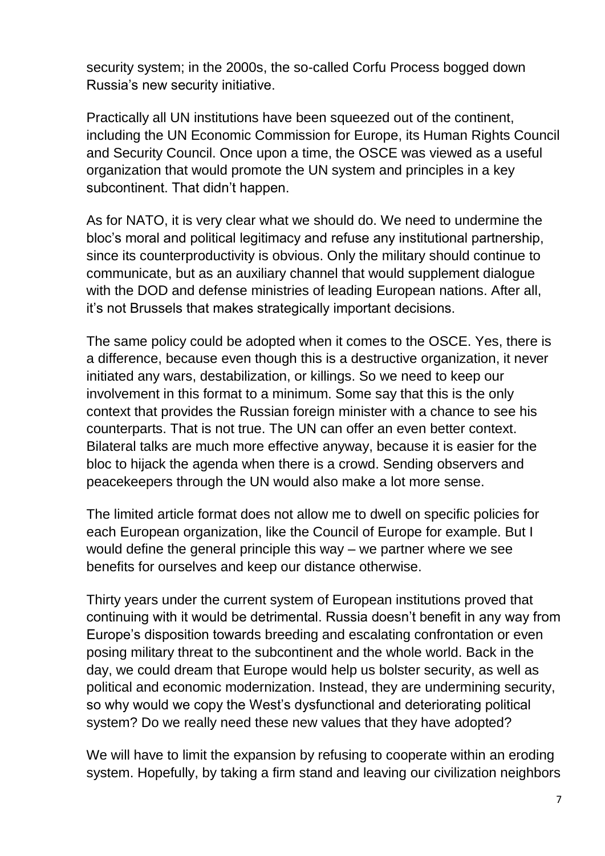security system; in the 2000s, the so-called Corfu Process bogged down Russia's new security initiative.

Practically all UN institutions have been squeezed out of the continent, including the UN Economic Commission for Europe, its Human Rights Council and Security Council. Once upon a time, the OSCE was viewed as a useful organization that would promote the UN system and principles in a key subcontinent. That didn't happen.

As for NATO, it is very clear what we should do. We need to undermine the bloc's moral and political legitimacy and refuse any institutional partnership, since its counterproductivity is obvious. Only the military should continue to communicate, but as an auxiliary channel that would supplement dialogue with the DOD and defense ministries of leading European nations. After all, it's not Brussels that makes strategically important decisions.

The same policy could be adopted when it comes to the OSCE. Yes, there is a difference, because even though this is a destructive organization, it never initiated any wars, destabilization, or killings. So we need to keep our involvement in this format to a minimum. Some say that this is the only context that provides the Russian foreign minister with a chance to see his counterparts. That is not true. The UN can offer an even better context. Bilateral talks are much more effective anyway, because it is easier for the bloc to hijack the agenda when there is a crowd. Sending observers and peacekeepers through the UN would also make a lot more sense.

The limited article format does not allow me to dwell on specific policies for each European organization, like the Council of Europe for example. But I would define the general principle this way – we partner where we see benefits for ourselves and keep our distance otherwise.

Thirty years under the current system of European institutions proved that continuing with it would be detrimental. Russia doesn't benefit in any way from Europe's disposition towards breeding and escalating confrontation or even posing military threat to the subcontinent and the whole world. Back in the day, we could dream that Europe would help us bolster security, as well as political and economic modernization. Instead, they are undermining security, so why would we copy the West's dysfunctional and deteriorating political system? Do we really need these new values that they have adopted?

We will have to limit the expansion by refusing to cooperate within an eroding system. Hopefully, by taking a firm stand and leaving our civilization neighbors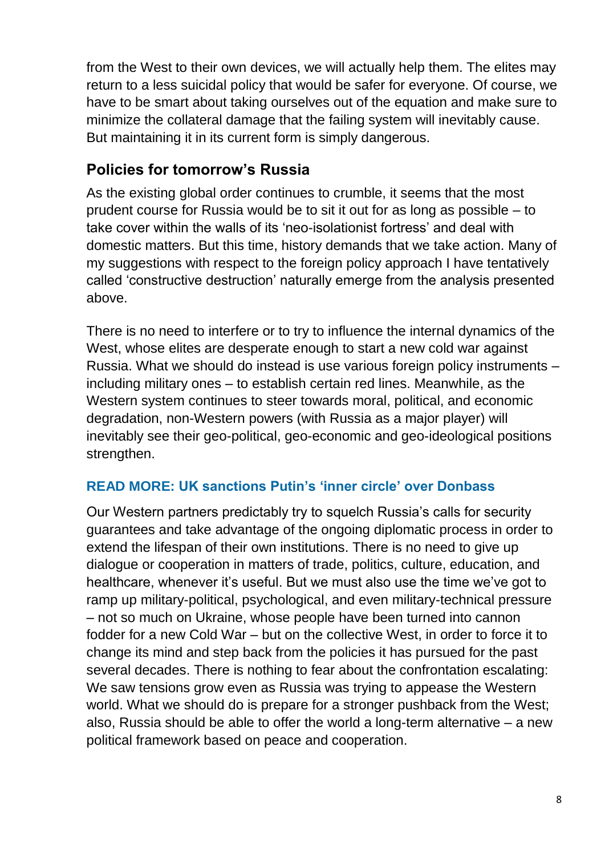from the West to their own devices, we will actually help them. The elites may return to a less suicidal policy that would be safer for everyone. Of course, we have to be smart about taking ourselves out of the equation and make sure to minimize the collateral damage that the failing system will inevitably cause. But maintaining it in its current form is simply dangerous.

#### **Policies for tomorrow's Russia**

As the existing global order continues to crumble, it seems that the most prudent course for Russia would be to sit it out for as long as possible – to take cover within the walls of its 'neo-isolationist fortress' and deal with domestic matters. But this time, history demands that we take action. Many of my suggestions with respect to the foreign policy approach I have tentatively called 'constructive destruction' naturally emerge from the analysis presented above.

There is no need to interfere or to try to influence the internal dynamics of the West, whose elites are desperate enough to start a new cold war against Russia. What we should do instead is use various foreign policy instruments – including military ones – to establish certain red lines. Meanwhile, as the Western system continues to steer towards moral, political, and economic degradation, non-Western powers (with Russia as a major player) will inevitably see their geo-political, geo-economic and geo-ideological positions strengthen.

#### **READ MORE: [UK sanctions Putin's 'inner circle' over Donbass](https://www.rt.com/russia/550249-uk-sanctions-over-ukraine/)**

Our Western partners predictably try to squelch Russia's calls for security guarantees and take advantage of the ongoing diplomatic process in order to extend the lifespan of their own institutions. There is no need to give up dialogue or cooperation in matters of trade, politics, culture, education, and healthcare, whenever it's useful. But we must also use the time we've got to ramp up military-political, psychological, and even military-technical pressure – not so much on Ukraine, whose people have been turned into cannon fodder for a new Cold War – but on the collective West, in order to force it to change its mind and step back from the policies it has pursued for the past several decades. There is nothing to fear about the confrontation escalating: We saw tensions grow even as Russia was trying to appease the Western world. What we should do is prepare for a stronger pushback from the West; also, Russia should be able to offer the world a long-term alternative – a new political framework based on peace and cooperation.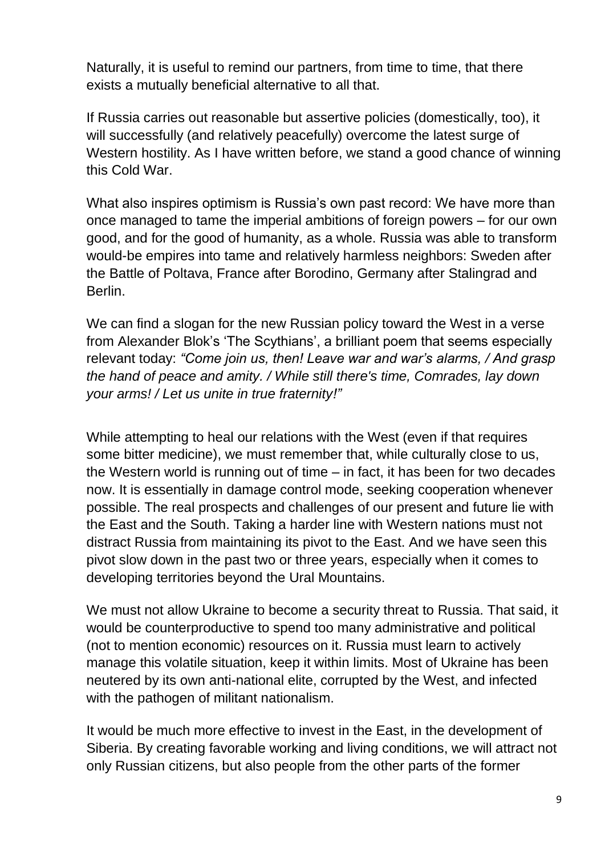Naturally, it is useful to remind our partners, from time to time, that there exists a mutually beneficial alternative to all that.

If Russia carries out reasonable but assertive policies (domestically, too), it will successfully (and relatively peacefully) overcome the latest surge of Western hostility. As I have written before, we stand a good chance of winning this Cold War.

What also inspires optimism is Russia's own past record: We have more than once managed to tame the imperial ambitions of foreign powers – for our own good, and for the good of humanity, as a whole. Russia was able to transform would-be empires into tame and relatively harmless neighbors: Sweden after the Battle of Poltava, France after Borodino, Germany after Stalingrad and Berlin.

We can find a slogan for the new Russian policy toward the West in a verse from Alexander Blok's 'The Scythians', a brilliant poem that seems especially relevant today: *"Come join us, then! Leave war and war's alarms, / And grasp the hand of peace and amity. / While still there's time, Comrades, lay down your arms! / Let us unite in true fraternity!"*

While attempting to heal our relations with the West (even if that requires some bitter medicine), we must remember that, while culturally close to us, the Western world is running out of time – in fact, it has been for two decades now. It is essentially in damage control mode, seeking cooperation whenever possible. The real prospects and challenges of our present and future lie with the East and the South. Taking a harder line with Western nations must not distract Russia from maintaining its pivot to the East. And we have seen this pivot slow down in the past two or three years, especially when it comes to developing territories beyond the Ural Mountains.

We must not allow Ukraine to become a security threat to Russia. That said, it would be counterproductive to spend too many administrative and political (not to mention economic) resources on it. Russia must learn to actively manage this volatile situation, keep it within limits. Most of Ukraine has been neutered by its own anti-national elite, corrupted by the West, and infected with the pathogen of militant nationalism.

It would be much more effective to invest in the East, in the development of Siberia. By creating favorable working and living conditions, we will attract not only Russian citizens, but also people from the other parts of the former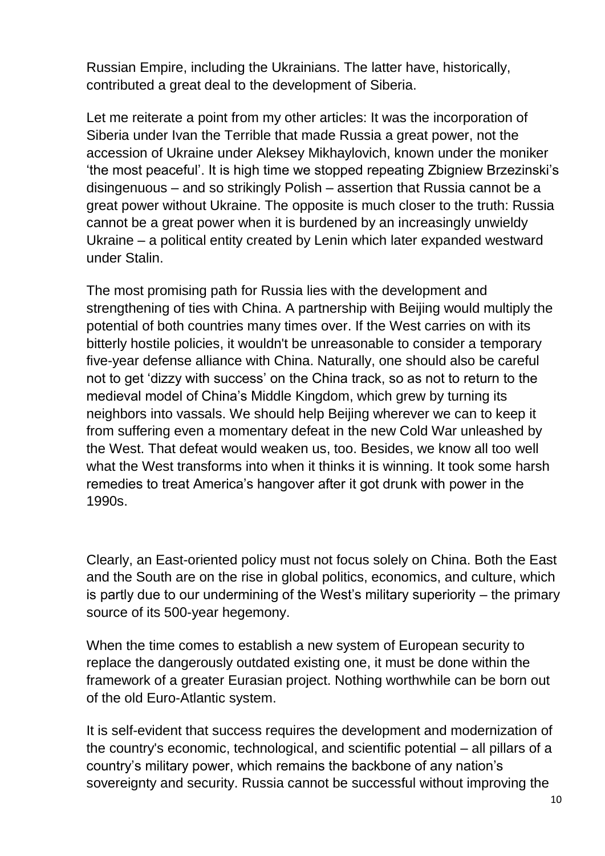Russian Empire, including the Ukrainians. The latter have, historically, contributed a great deal to the development of Siberia.

Let me reiterate a point from my other articles: It was the incorporation of Siberia under Ivan the Terrible that made Russia a great power, not the accession of Ukraine under Aleksey Mikhaylovich, known under the moniker 'the most peaceful'. It is high time we stopped repeating Zbigniew Brzezinski's disingenuous – and so strikingly Polish – assertion that Russia cannot be a great power without Ukraine. The opposite is much closer to the truth: Russia cannot be a great power when it is burdened by an increasingly unwieldy Ukraine – a political entity created by Lenin which later expanded westward under Stalin.

The most promising path for Russia lies with the development and strengthening of ties with China. A partnership with Beijing would multiply the potential of both countries many times over. If the West carries on with its bitterly hostile policies, it wouldn't be unreasonable to consider a temporary five-year defense alliance with China. Naturally, one should also be careful not to get 'dizzy with success' on the China track, so as not to return to the medieval model of China's Middle Kingdom, which grew by turning its neighbors into vassals. We should help Beijing wherever we can to keep it from suffering even a momentary defeat in the new Cold War unleashed by the West. That defeat would weaken us, too. Besides, we know all too well what the West transforms into when it thinks it is winning. It took some harsh remedies to treat America's hangover after it got drunk with power in the 1990s.

Clearly, an East-oriented policy must not focus solely on China. Both the East and the South are on the rise in global politics, economics, and culture, which is partly due to our undermining of the West's military superiority – the primary source of its 500-year hegemony.

When the time comes to establish a new system of European security to replace the dangerously outdated existing one, it must be done within the framework of a greater Eurasian project. Nothing worthwhile can be born out of the old Euro-Atlantic system.

It is self-evident that success requires the development and modernization of the country's economic, technological, and scientific potential – all pillars of a country's military power, which remains the backbone of any nation's sovereignty and security. Russia cannot be successful without improving the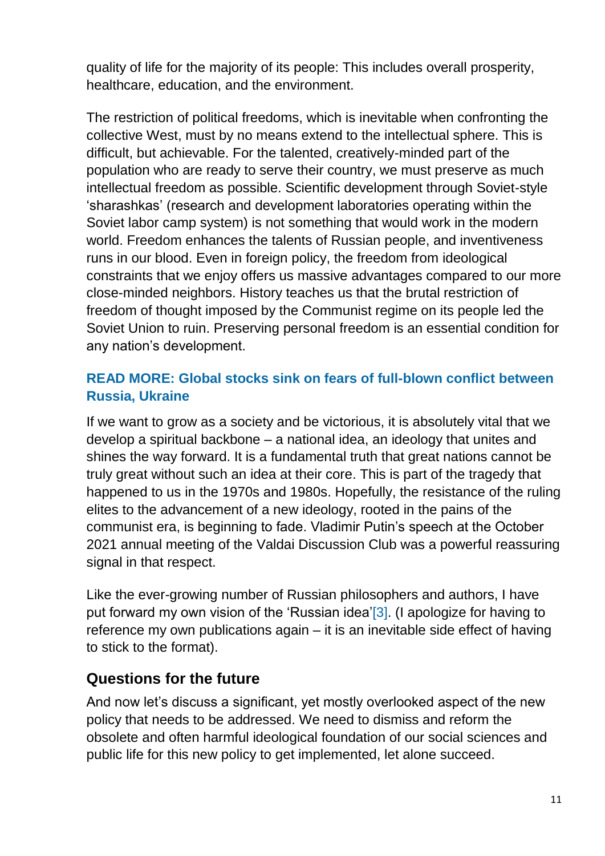quality of life for the majority of its people: This includes overall prosperity, healthcare, education, and the environment.

The restriction of political freedoms, which is inevitable when confronting the collective West, must by no means extend to the intellectual sphere. This is difficult, but achievable. For the talented, creatively-minded part of the population who are ready to serve their country, we must preserve as much intellectual freedom as possible. Scientific development through Soviet-style 'sharashkas' (research and development laboratories operating within the Soviet labor camp system) is not something that would work in the modern world. Freedom enhances the talents of Russian people, and inventiveness runs in our blood. Even in foreign policy, the freedom from ideological constraints that we enjoy offers us massive advantages compared to our more close-minded neighbors. History teaches us that the brutal restriction of freedom of thought imposed by the Communist regime on its people led the Soviet Union to ruin. Preserving personal freedom is an essential condition for any nation's development.

#### **READ MORE: [Global stocks sink on fears of full-blown conflict between](https://www.rt.com/business/550214-global-stocks-sink-russia-ukraine/)  [Russia, Ukraine](https://www.rt.com/business/550214-global-stocks-sink-russia-ukraine/)**

If we want to grow as a society and be victorious, it is absolutely vital that we develop a spiritual backbone – a national idea, an ideology that unites and shines the way forward. It is a fundamental truth that great nations cannot be truly great without such an idea at their core. This is part of the tragedy that happened to us in the 1970s and 1980s. Hopefully, the resistance of the ruling elites to the advancement of a new ideology, rooted in the pains of the communist era, is beginning to fade. Vladimir Putin's speech at the October 2021 annual meeting of the Valdai Discussion Club was a powerful reassuring signal in that respect.

Like the ever-growing number of Russian philosophers and authors, I have put forward my own vision of the 'Russian idea['\[3\].](https://globalaffairs.ru/articles/ot-razrusheniya-k-sobiraniyu/?fbclid=IwAR1jJo1lJT7vq76-KzNjZqMWCeEu_G_cpb9Xk5xybSaLQ5jY3SawmOMMuXU#_ftn3) (I apologize for having to reference my own publications again – it is an inevitable side effect of having to stick to the format).

## **Questions for the future**

And now let's discuss a significant, yet mostly overlooked aspect of the new policy that needs to be addressed. We need to dismiss and reform the obsolete and often harmful ideological foundation of our social sciences and public life for this new policy to get implemented, let alone succeed.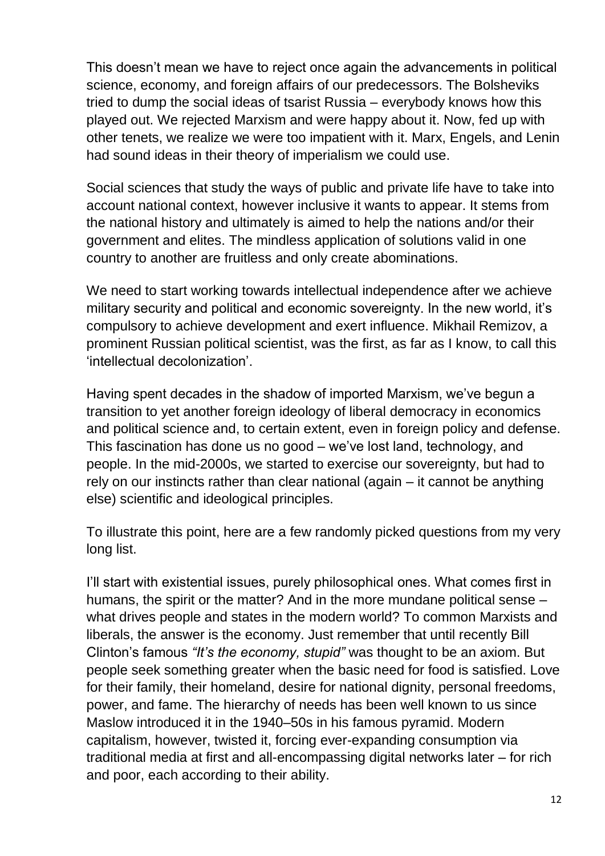This doesn't mean we have to reject once again the advancements in political science, economy, and foreign affairs of our predecessors. The Bolsheviks tried to dump the social ideas of tsarist Russia – everybody knows how this played out. We rejected Marxism and were happy about it. Now, fed up with other tenets, we realize we were too impatient with it. Marx, Engels, and Lenin had sound ideas in their theory of imperialism we could use.

Social sciences that study the ways of public and private life have to take into account national context, however inclusive it wants to appear. It stems from the national history and ultimately is aimed to help the nations and/or their government and elites. The mindless application of solutions valid in one country to another are fruitless and only create abominations.

We need to start working towards intellectual independence after we achieve military security and political and economic sovereignty. In the new world, it's compulsory to achieve development and exert influence. Mikhail Remizov, a prominent Russian political scientist, was the first, as far as I know, to call this 'intellectual decolonization'.

Having spent decades in the shadow of imported Marxism, we've begun a transition to yet another foreign ideology of liberal democracy in economics and political science and, to certain extent, even in foreign policy and defense. This fascination has done us no good – we've lost land, technology, and people. In the mid-2000s, we started to exercise our sovereignty, but had to rely on our instincts rather than clear national (again – it cannot be anything else) scientific and ideological principles.

To illustrate this point, here are a few randomly picked questions from my very long list.

I'll start with existential issues, purely philosophical ones. What comes first in humans, the spirit or the matter? And in the more mundane political sense – what drives people and states in the modern world? To common Marxists and liberals, the answer is the economy. Just remember that until recently Bill Clinton's famous *"It's the economy, stupid"* was thought to be an axiom. But people seek something greater when the basic need for food is satisfied. Love for their family, their homeland, desire for national dignity, personal freedoms, power, and fame. The hierarchy of needs has been well known to us since Maslow introduced it in the 1940–50s in his famous pyramid. Modern capitalism, however, twisted it, forcing ever-expanding consumption via traditional media at first and all-encompassing digital networks later – for rich and poor, each according to their ability.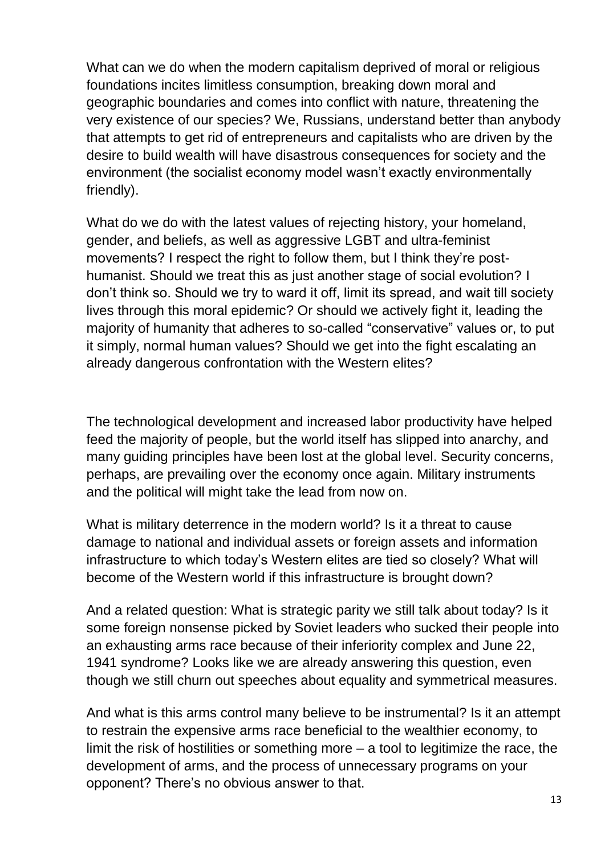What can we do when the modern capitalism deprived of moral or religious foundations incites limitless consumption, breaking down moral and geographic boundaries and comes into conflict with nature, threatening the very existence of our species? We, Russians, understand better than anybody that attempts to get rid of entrepreneurs and capitalists who are driven by the desire to build wealth will have disastrous consequences for society and the environment (the socialist economy model wasn't exactly environmentally friendly).

What do we do with the latest values of rejecting history, your homeland, gender, and beliefs, as well as aggressive LGBT and ultra-feminist movements? I respect the right to follow them, but I think they're posthumanist. Should we treat this as just another stage of social evolution? I don't think so. Should we try to ward it off, limit its spread, and wait till society lives through this moral epidemic? Or should we actively fight it, leading the majority of humanity that adheres to so-called "conservative" values or, to put it simply, normal human values? Should we get into the fight escalating an already dangerous confrontation with the Western elites?

The technological development and increased labor productivity have helped feed the majority of people, but the world itself has slipped into anarchy, and many guiding principles have been lost at the global level. Security concerns, perhaps, are prevailing over the economy once again. Military instruments and the political will might take the lead from now on.

What is military deterrence in the modern world? Is it a threat to cause damage to national and individual assets or foreign assets and information infrastructure to which today's Western elites are tied so closely? What will become of the Western world if this infrastructure is brought down?

And a related question: What is strategic parity we still talk about today? Is it some foreign nonsense picked by Soviet leaders who sucked their people into an exhausting arms race because of their inferiority complex and June 22, 1941 syndrome? Looks like we are already answering this question, even though we still churn out speeches about equality and symmetrical measures.

And what is this arms control many believe to be instrumental? Is it an attempt to restrain the expensive arms race beneficial to the wealthier economy, to limit the risk of hostilities or something more – a tool to legitimize the race, the development of arms, and the process of unnecessary programs on your opponent? There's no obvious answer to that.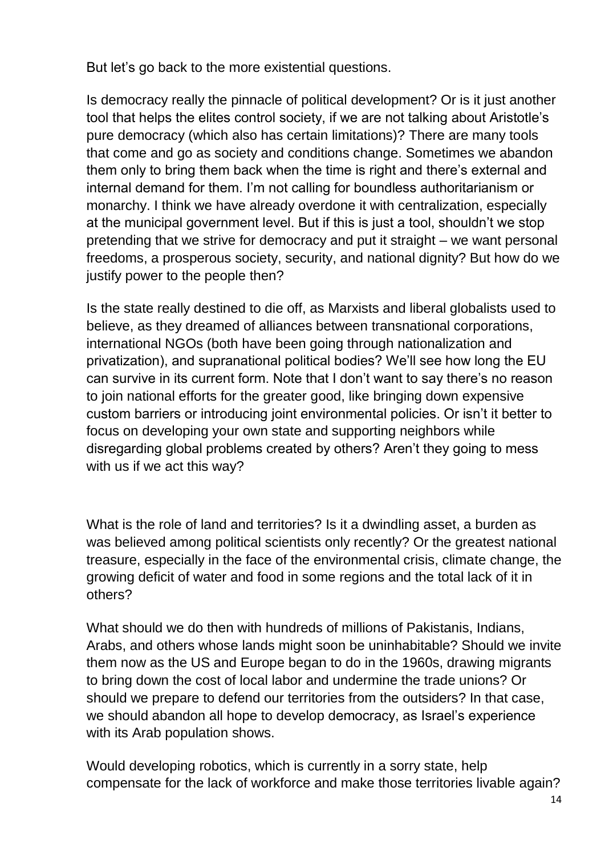But let's go back to the more existential questions.

Is democracy really the pinnacle of political development? Or is it just another tool that helps the elites control society, if we are not talking about Aristotle's pure democracy (which also has certain limitations)? There are many tools that come and go as society and conditions change. Sometimes we abandon them only to bring them back when the time is right and there's external and internal demand for them. I'm not calling for boundless authoritarianism or monarchy. I think we have already overdone it with centralization, especially at the municipal government level. But if this is just a tool, shouldn't we stop pretending that we strive for democracy and put it straight – we want personal freedoms, a prosperous society, security, and national dignity? But how do we justify power to the people then?

Is the state really destined to die off, as Marxists and liberal globalists used to believe, as they dreamed of alliances between transnational corporations, international NGOs (both have been going through nationalization and privatization), and supranational political bodies? We'll see how long the EU can survive in its current form. Note that I don't want to say there's no reason to join national efforts for the greater good, like bringing down expensive custom barriers or introducing joint environmental policies. Or isn't it better to focus on developing your own state and supporting neighbors while disregarding global problems created by others? Aren't they going to mess with us if we act this way?

What is the role of land and territories? Is it a dwindling asset, a burden as was believed among political scientists only recently? Or the greatest national treasure, especially in the face of the environmental crisis, climate change, the growing deficit of water and food in some regions and the total lack of it in others?

What should we do then with hundreds of millions of Pakistanis, Indians, Arabs, and others whose lands might soon be uninhabitable? Should we invite them now as the US and Europe began to do in the 1960s, drawing migrants to bring down the cost of local labor and undermine the trade unions? Or should we prepare to defend our territories from the outsiders? In that case, we should abandon all hope to develop democracy, as Israel's experience with its Arab population shows.

Would developing robotics, which is currently in a sorry state, help compensate for the lack of workforce and make those territories livable again?